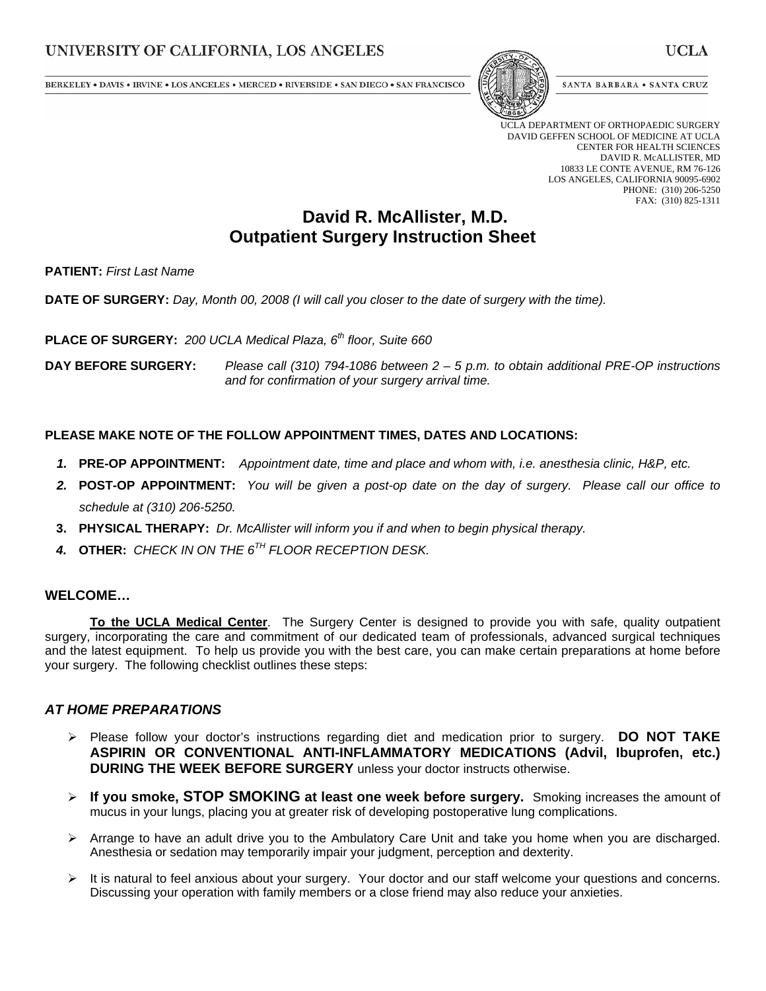BERKELEY • DAVIS • IRVINE • LOS ANGELES • MERCED • RIVERSIDE • SAN DIEGO • SAN FRANCISCO



SANTA BARBARA . SANTA CRUZ

UCLA DEPARTMENT OF ORTHOPAEDIC SURGERY DAVID GEFFEN SCHOOL OF MEDICINE AT UCLA CENTER FOR HEALTH SCIENCES DAVID R. McALLISTER, MD 10833 LE CONTE AVENUE, RM 76-126 LOS ANGELES, CALIFORNIA 90095-6902 PHONE: (310) 206-5250 FAX: (310) 825-1311

# **David R. McAllister, M.D. Outpatient Surgery Instruction Sheet**

**PATIENT:** *First Last Name*

**DATE OF SURGERY:** *Day, Month 00, 2008 (I will call you closer to the date of surgery with the time).* 

**PLACE OF SURGERY:** *200 UCLA Medical Plaza, 6th floor, Suite 660*

**DAY BEFORE SURGERY:** *Please call (310) 794-1086 between 2 – 5 p.m. to obtain additional PRE-OP instructions and for confirmation of your surgery arrival time.* 

### **PLEASE MAKE NOTE OF THE FOLLOW APPOINTMENT TIMES, DATES AND LOCATIONS:**

- *1.* **PRE-OP APPOINTMENT:** *Appointment date, time and place and whom with, i.e. anesthesia clinic, H&P, etc.*
- *2.* **POST-OP APPOINTMENT:** *You will be given a post-op date on the day of surgery. Please call our office to schedule at (310) 206-5250.*
- **3. PHYSICAL THERAPY:** *Dr. McAllister will inform you if and when to begin physical therapy.*
- *4.* **OTHER:** *CHECK IN ON THE 6TH FLOOR RECEPTION DESK.*

### **WELCOME…**

**To the UCLA Medical Center**. The Surgery Center is designed to provide you with safe, quality outpatient surgery, incorporating the care and commitment of our dedicated team of professionals, advanced surgical techniques and the latest equipment. To help us provide you with the best care, you can make certain preparations at home before your surgery. The following checklist outlines these steps:

### *AT HOME PREPARATIONS*

- Please follow your doctor's instructions regarding diet and medication prior to surgery. **DO NOT TAKE ASPIRIN OR CONVENTIONAL ANTI-INFLAMMATORY MEDICATIONS (Advil, Ibuprofen, etc.) DURING THE WEEK BEFORE SURGERY** unless your doctor instructs otherwise.
- **If you smoke, STOP SMOKING at least one week before surgery.** Smoking increases the amount of mucus in your lungs, placing you at greater risk of developing postoperative lung complications.
- $\triangleright$  Arrange to have an adult drive you to the Ambulatory Care Unit and take you home when you are discharged. Anesthesia or sedation may temporarily impair your judgment, perception and dexterity.
- $\triangleright$  It is natural to feel anxious about your surgery. Your doctor and our staff welcome your questions and concerns. Discussing your operation with family members or a close friend may also reduce your anxieties.